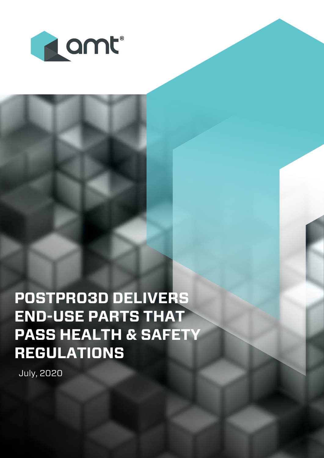

**POSTPRO3D DELIVERS END-USE PARTS THAT PASS HEALTH & SAFETY REGULATIONS**

July, 2020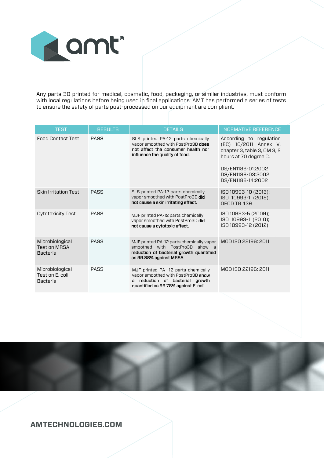

Any parts 3D printed for medical, cosmetic, food, packaging, or similar industries, must conform with local regulations before being used in final applications. AMT has performed a series of tests to ensure the safety of parts post-processed on our equipment are compliant.

| <b>TEST</b>                                               | <b>RESULTS</b> | <b>DETAILS</b>                                                                                                                                       | NORMATIVE REFERENCE                                                                                                                                                     |
|-----------------------------------------------------------|----------------|------------------------------------------------------------------------------------------------------------------------------------------------------|-------------------------------------------------------------------------------------------------------------------------------------------------------------------------|
| <b>Food Contact Test</b>                                  | PASS           | SLS printed PA-12 parts chemically<br>vapor smoothed with PostPro3D does<br>not affect the consumer health nor<br>influence the quality of food.     | According to regulation<br>(EC) 10/2011 Annex V,<br>chapter 3, table 3, OM 3, 2<br>hours at 70 degree C.<br>DS/EN1186-01:2002<br>DS/EN1186-03:2002<br>DS/EN1186-14:2002 |
| <b>Skin Irritation Test</b>                               | <b>PASS</b>    | SLS printed PA-12 parts chemically<br>vapor smoothed with PostPro3D did<br>not cause a skin irritating effect.                                       | ISO 10993-10 (2013);<br>ISO 10993-1 (2018);<br>OECD TG 439                                                                                                              |
| Cytotoxicity Test                                         | PASS           | MJF printed PA-12 parts chemically<br>vapor smoothed with PostPro3D did<br>not cause a cytotoxic effect.                                             | ISO 10993-5 (2009);<br>ISO 10993-1 (2010);<br>ISO 10993-12 (2012)                                                                                                       |
| Microbiological<br><b>Test on MRSA</b><br><b>Bacteria</b> | PASS           | MJF printed PA-12 parts chemically vapor<br>smoothed with PostPro3D show a<br>reduction of bacterial growth quantified<br>as 99.88% against MRSA.    | MOD ISO 22196: 2011                                                                                                                                                     |
| Microbiological<br>Test on F. coli<br><b>Bacteria</b>     | PASS           | MJF printed PA-12 parts chemically<br>vapor smoothed with PostPro3D show<br>a reduction of bacterial growth<br>quantified as 99.78% against E. coli. | MOD ISO 22196: 2011                                                                                                                                                     |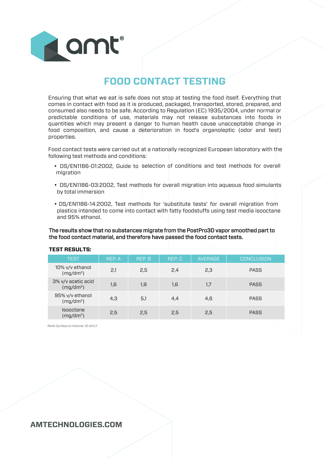

# **FOOD CONTACT TESTING**

ensuring that what we eat is safe does not stop at testing the food itself. everything that comes in contact with food as it is produced, packaged, transported, stored, prepared, and consumed also needs to be safe. According to Regulation (ec) 1935/2004, under normal or predictable conditions of use, materials may not release substances into foods in quantities which may present a danger to human health cause unacceptable change in food composition, and cause a deterioration in food's organoleptic (odor and test) properties.

food contact tests were carried out at a nationally recognized european laboratory with the following test methods and conditions:

- Ds/eN1186-01:2002, Guide to selection of conditions and test methods for overall migration
- Ds/eN1186-03:2002, Test methods for overall migration into aqueous food simulants by total immersion
- Ds/eN1186-14:2002, Test methods for 'substitute tests' for overall migration from plastics intended to come into contact with fatty foodstuffs using test media isooctane and 95% ethanol.

The results show that no substances migrate from the PostPro3D vapor smoothed part to the food contact material, and therefore have passed the food contact tests.

| <b>TEST</b>                                 | REP. A | REP. B | REP.C | <b>AVERAGE</b> | <b>CONCLUSION</b> |
|---------------------------------------------|--------|--------|-------|----------------|-------------------|
| 10% v/v ethanol<br>(mg/dm <sup>2</sup> )    | 2,1    | 2,5    | 2,4   | 2,3            | PASS              |
| 3% v/v acetic acid<br>(mg/dm <sup>2</sup> ) | 1,6    | 1,9    | 1,6   | 1,7            | PASS              |
| 95% v/v ethanol<br>(mg/dm <sup>2</sup> )    | 4,3    | 5,1    | 4,4   | 4,6            | PASS              |
| Isooctane<br>$(mg/dm^2)$                    | 2,5    | 2,5    | 2,5   | 2,5            | PASS              |

#### **TEST RESULTS:**

*Ratio Surface to Volume: 10 dm2/l*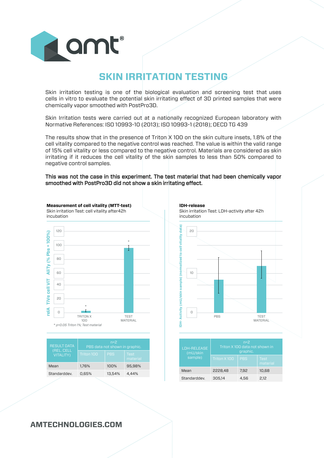

# **SKIN IRRITATION TESTING**

skin irritation testing is one of the biological evaluation and screening test that uses cells in vitro to evaluate the potential skin irritating effect of 3D printed samples that were chemically vapor smoothed with PostPro3D.

Skin Irritation tests were carried out at a nationally recognized European laboratory with Normative References: ISO 10993-10 (2013); ISO 10993-1 (2018); OECD TG 439

The results show that in the presence of Triton X 100 on the skin culture insets, 1.8% of the cell vitality compared to the negative control was reached. The value is within the valid range of 15% cell vitality or less compared to the negative control. Materials are considered as skin irritating if it reduces the cell vitality of the skin samples to less than 50% compared to negative control samples.

### This was not the case in this experiment. The test material that had been chemically vapor smoothed with PostPro3D did not show a skin irritating effect.



| <b>RESULT DATA</b>             | $n=2$<br>PBS data not shown in graphic. |            |                  |  |
|--------------------------------|-----------------------------------------|------------|------------------|--|
| (REL. CELL<br><b>VITALITY)</b> | Triton 100                              | <b>PBS</b> | Test<br>material |  |
| Mean                           | 1,76%                                   | 100%       | 95,98%           |  |
| Standarddev.                   | 0.65%                                   | 13.54%     | 4.44%            |  |
|                                |                                         |            |                  |  |



| <b>LDH-RELEASE</b><br>(mU/skin | $n=2$<br>Triton X 100 data not shown in<br>graphic. |            |                         |  |
|--------------------------------|-----------------------------------------------------|------------|-------------------------|--|
| sample)                        | Triton X100                                         | <b>PBS</b> | <b>Test</b><br>material |  |
| Mean                           | 2228.48                                             | 7,92       | 10,68                   |  |
| Standarddev.                   | 305.14                                              | 4.56       | 2.12                    |  |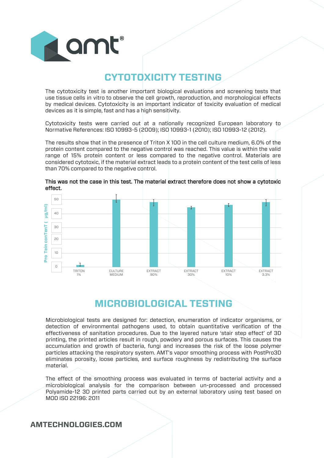

# **CYTOTOXICITY TESTING**

The cytotoxicity test is another important biological evaluations and screening tests that use tissue cells in vitro to observe the cell growth, reproduction, and morphological effects by medical devices. cytotoxicity is an important indicator of toxicity evaluation of medical devices as it is simple, fast and has a high sensitivity.

cytotoxicity tests were carried out at a nationally recognized european laboratory to Normative References: iso 10993-5 (2009); iso 10993-1 (2010); iso 10993-12 (2012).

The results show that in the presence of Triton X 100 in the cell culture medium, 6.0% of the protein content compared to the negative control was reached. This value is within the valid range of 15% protein content or less compared to the negative control. Materials are considered cytotoxic, if the material extract leads to a protein content of the test cells of less than 70% compared to the negative control.



This was not the case in this test. The material extract therefore does not show a cytotoxic effect.

## **MICROBIOLOGICAL TESTING**

Microbiological tests are designed for: detection, enumeration of indicator organisms, or detection of environmental pathogens used, to obtain quantitative verification of the effectiveness of sanitation procedures. Due to the layered nature 'stair step effect' of 3D printing, the printed articles result in rough, powdery and porous surfaces. This causes the accumulation and growth of bacteria, fungi and increases the risk of the loose polymer particles attacking the respiratory system. AMT's vapor smoothing process with PostPro3D eliminates porosity, loose particles, and surface roughness by redistributing the surface material.

The effect of the smoothing process was evaluated in terms of bacterial activity and a microbiological analysis for the comparison between un-processed and processed Polyamide-12 3D printed parts carried out by an external laboratory using test based on MOD ISO 22196: 2011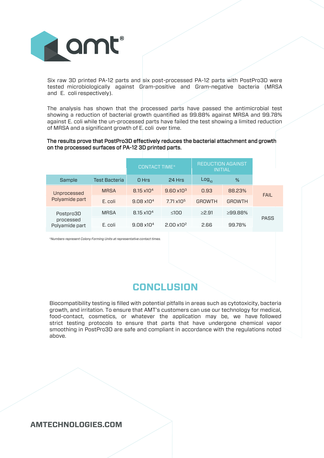

Six raw 3D printed PA-12 parts and six post-processed PA-12 parts with PostPro3D were tested microbiologically against Gram-positive and Gram-negative bacteria (MRSA and E. coli respectively).

The analysis has shown that the processed parts have passed the antimicrobial test showing a reduction of bacterial growth quantified as 99.88% against MRsA and 99.78% against E. coli while the un-processed parts have failed the test showing a limited reduction of MRSA and a significant growth of  $E$ . coli over time.

### The results prove that PostPro3D effectively reduces the bacterial attachment and growth on the processed surfaces of PA-12 3D printed parts.

|                                          |                      | <b>CONTACT TIME*</b> |                      | <b>REDUCTION AGAINST</b><br><b>INITIAL</b> |               |             |
|------------------------------------------|----------------------|----------------------|----------------------|--------------------------------------------|---------------|-------------|
| Sample                                   | <b>Test Bacteria</b> | 0 Hrs                | 24 Hrs               | Log <sub>10</sub>                          | %             |             |
| Unprocessed<br>Polyamide part            | <b>MRSA</b>          | $8.15 \times 10^{4}$ | $9.60 \times 10^{3}$ | 0.93                                       | 88.23%        | <b>FAIL</b> |
|                                          | E. coli              | $9.08 \times 10^{4}$ | $7.71 \times 10^{5}$ | <b>GROWTH</b>                              | <b>GROWTH</b> |             |
| Postpro3D<br>processed<br>Polyamide part | MRSA                 | $8.15 \times 10^{4}$ | $\leq 100$           | >2.91                                      | $>99.88\%$    |             |
|                                          | E. coli              | $9.08 \times 10^{4}$ | $2.00 \times 10^{2}$ | 2.66                                       | 99.78%        | PASS        |

*\*Numbers represent Colony Forming Units at representative contact times.*

# **CONCLUSION**

Biocompatibility testing is filled with potential pitfalls in areas such as cytotoxicity, bacteria growth, and irritation. To ensure that AMT's customers can use our technology for medical, food-contact, cosmetics, or whatever the application may be, we have followed strict testing protocols to ensure that parts that have undergone chemical vapor smoothing in PostPro3D are safe and compliant in accordance with the regulations noted above.